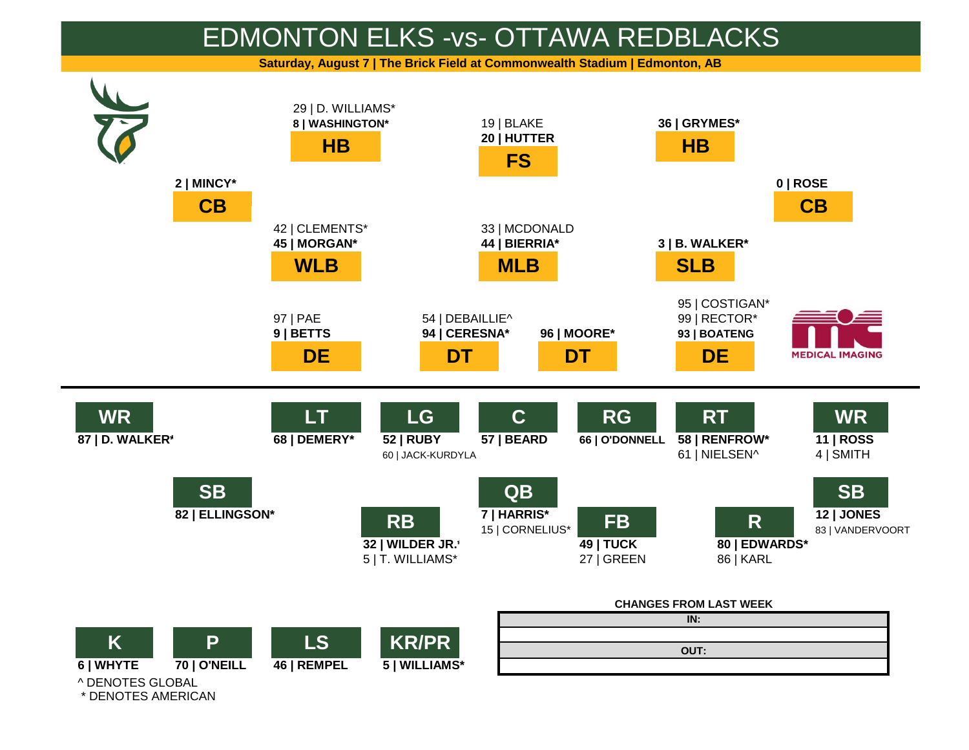## EDMONTON ELKS -vs- OTTAWA REDBLACKS

**Saturday, August 7 | The Brick Field at Commonwealth Stadium | Edmonton, AB**



\* DENOTES AMERICAN